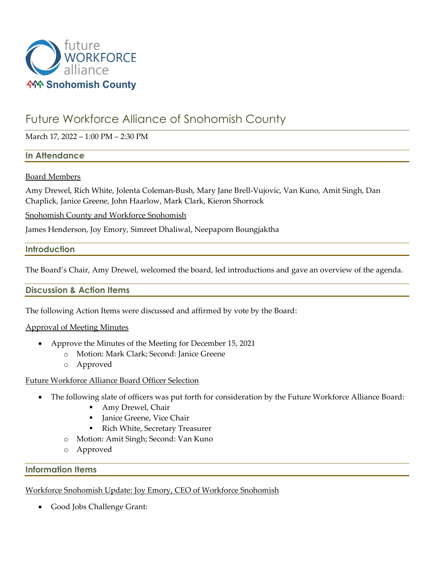

# Future Workforce Alliance of Snohomish County

March 17, 2022 – 1:00 PM – 2:30 PM

## **In Attendance**

## Board Members

Amy Drewel, Rich White, Jolenta Coleman-Bush, Mary Jane Brell-Vujovic, Van Kuno, Amit Singh, Dan Chaplick, Janice Greene, John Haarlow, Mark Clark, Kieron Shorrock

Snohomish County and Workforce Snohomish

James Henderson, Joy Emory, Simreet Dhaliwal, Neepaporn Boungjaktha

#### **Introduction**

The Board's Chair, Amy Drewel, welcomed the board, led introductions and gave an overview of the agenda.

## **Discussion & Action Items**

The following Action Items were discussed and affirmed by vote by the Board:

#### Approval of Meeting Minutes

- Approve the Minutes of the Meeting for December 15, 2021
	- o Motion: Mark Clark; Second: Janice Greene
	- o Approved

#### Future Workforce Alliance Board Officer Selection

- The following slate of officers was put forth for consideration by the Future Workforce Alliance Board:
	- Amy Drewel, Chair
	- **·** Janice Greene, Vice Chair
	- Rich White, Secretary Treasurer
	- o Motion: Amit Singh; Second: Van Kuno
	- o Approved

#### **Information Items**

Workforce Snohomish Update: Joy Emory, CEO of Workforce Snohomish

• Good Jobs Challenge Grant: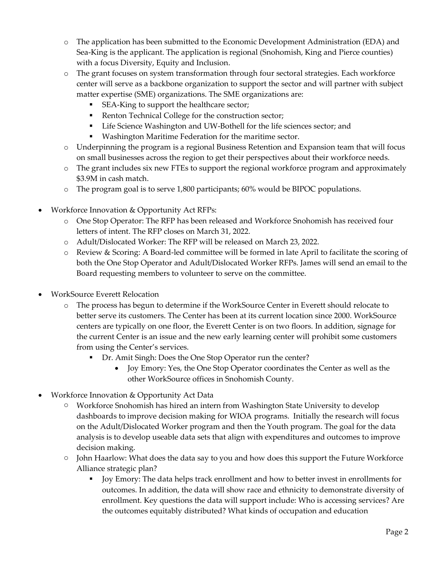- o The application has been submitted to the Economic Development Administration (EDA) and Sea-King is the applicant. The application is regional (Snohomish, King and Pierce counties) with a focus Diversity, Equity and Inclusion.
- o The grant focuses on system transformation through four sectoral strategies. Each workforce center will serve as a backbone organization to support the sector and will partner with subject matter expertise (SME) organizations. The SME organizations are:
	- SEA-King to support the healthcare sector;
	- Renton Technical College for the construction sector;
	- Life Science Washington and UW-Bothell for the life sciences sector; and
	- Washington Maritime Federation for the maritime sector.
- o Underpinning the program is a regional Business Retention and Expansion team that will focus on small businesses across the region to get their perspectives about their workforce needs.
- o The grant includes six new FTEs to support the regional workforce program and approximately \$3.9M in cash match.
- o The program goal is to serve 1,800 participants; 60% would be BIPOC populations.
- Workforce Innovation & Opportunity Act RFPs:
	- o One Stop Operator: The RFP has been released and Workforce Snohomish has received four letters of intent. The RFP closes on March 31, 2022.
	- o Adult/Dislocated Worker: The RFP will be released on March 23, 2022.
	- o Review & Scoring: A Board-led committee will be formed in late April to facilitate the scoring of both the One Stop Operator and Adult/Dislocated Worker RFPs. James will send an email to the Board requesting members to volunteer to serve on the committee.
- WorkSource Everett Relocation
	- o The process has begun to determine if the WorkSource Center in Everett should relocate to better serve its customers. The Center has been at its current location since 2000. WorkSource centers are typically on one floor, the Everett Center is on two floors. In addition, signage for the current Center is an issue and the new early learning center will prohibit some customers from using the Center's services.
		- Dr. Amit Singh: Does the One Stop Operator run the center?
			- Joy Emory: Yes, the One Stop Operator coordinates the Center as well as the other WorkSource offices in Snohomish County.
- Workforce Innovation & Opportunity Act Data
	- o Workforce Snohomish has hired an intern from Washington State University to develop dashboards to improve decision making for WIOA programs. Initially the research will focus on the Adult/Dislocated Worker program and then the Youth program. The goal for the data analysis is to develop useable data sets that align with expenditures and outcomes to improve decision making.
	- $\circ$  John Haarlow: What does the data say to you and how does this support the Future Workforce Alliance strategic plan?
		- Joy Emory: The data helps track enrollment and how to better invest in enrollments for outcomes. In addition, the data will show race and ethnicity to demonstrate diversity of enrollment. Key questions the data will support include: Who is accessing services? Are the outcomes equitably distributed? What kinds of occupation and education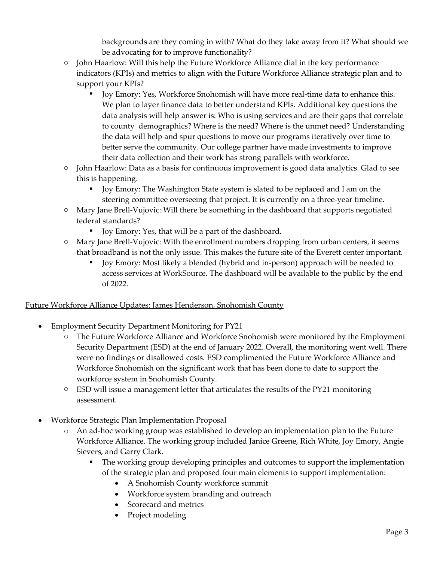backgrounds are they coming in with? What do they take away from it? What should we be advocating for to improve functionality?

- $\circ$  John Haarlow: Will this help the Future Workforce Alliance dial in the key performance indicators (KPIs) and metrics to align with the Future Workforce Alliance strategic plan and to support your KPIs?
	- Joy Emory: Yes, Workforce Snohomish will have more real-time data to enhance this. We plan to layer finance data to better understand KPIs. Additional key questions the data analysis will help answer is: Who is using services and are their gaps that correlate to county demographics? Where is the need? Where is the unmet need? Understanding the data will help and spur questions to move our programs iteratively over time to better serve the community. Our college partner have made investments to improve their data collection and their work has strong parallels with workforce.
- o John Haarlow: Data as a basis for continuous improvement is good data analytics. Glad to see this is happening.
	- Joy Emory: The Washington State system is slated to be replaced and I am on the steering committee overseeing that project. It is currently on a three-year timeline.
- o Mary Jane Brell-Vujovic: Will there be something in the dashboard that supports negotiated federal standards?
	- Joy Emory: Yes, that will be a part of the dashboard.
- o Mary Jane Brell-Vujovic: With the enrollment numbers dropping from urban centers, it seems that broadband is not the only issue. This makes the future site of the Everett center important.
	- Joy Emory: Most likely a blended (hybrid and in-person) approach will be needed to access services at WorkSource. The dashboard will be available to the public by the end of 2022.

## Future Workforce Alliance Updates: James Henderson, Snohomish County

- Employment Security Department Monitoring for PY21
	- The Future Workforce Alliance and Workforce Snohomish were monitored by the Employment Security Department (ESD) at the end of January 2022. Overall, the monitoring went well. There were no findings or disallowed costs. ESD complimented the Future Workforce Alliance and Workforce Snohomish on the significant work that has been done to date to support the workforce system in Snohomish County.
	- $\circ$  ESD will issue a management letter that articulates the results of the PY21 monitoring assessment.
- Workforce Strategic Plan Implementation Proposal
	- o An ad-hoc working group was established to develop an implementation plan to the Future Workforce Alliance. The working group included Janice Greene, Rich White, Joy Emory, Angie Sievers, and Garry Clark.
		- **•** The working group developing principles and outcomes to support the implementation of the strategic plan and proposed four main elements to support implementation:
			- A Snohomish County workforce summit
			- Workforce system branding and outreach
			- Scorecard and metrics
			- Project modeling